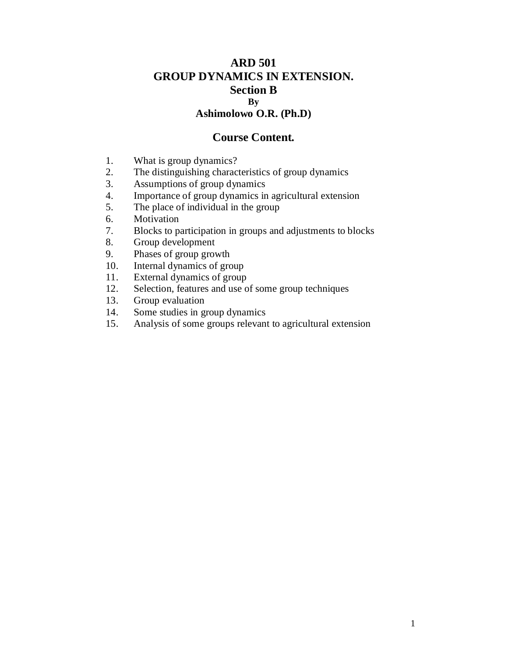# **ARD 501 GROUP DYNAMICS IN EXTENSION. Section B By Ashimolowo O.R. (Ph.D)**

# **Course Content.**

- 1. What is group dynamics?
- 2. The distinguishing characteristics of group dynamics<br>3. Assumptions of group dynamics
- Assumptions of group dynamics
- 4. Importance of group dynamics in agricultural extension
- 5. The place of individual in the group
- 6. Motivation
- 7. Blocks to participation in groups and adjustments to blocks
- 8. Group development
- 9. Phases of group growth
- 10. Internal dynamics of group
- 11. External dynamics of group
- 12. Selection, features and use of some group techniques
- 13. Group evaluation
- 14. Some studies in group dynamics
- 15. Analysis of some groups relevant to agricultural extension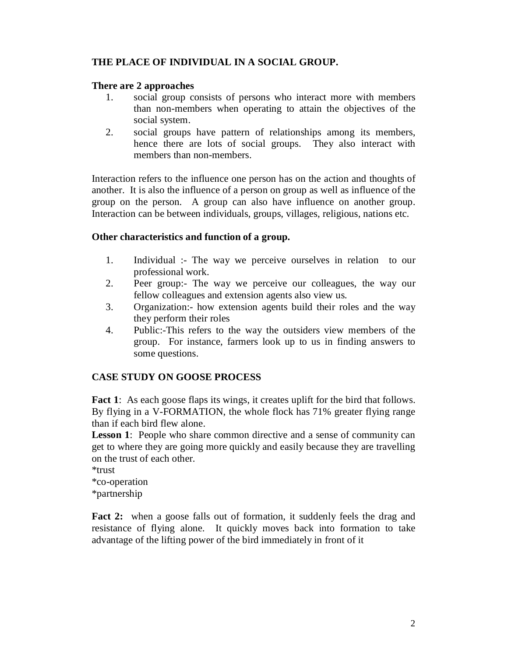# **THE PLACE OF INDIVIDUAL IN A SOCIAL GROUP.**

## **There are 2 approaches**

- 1. social group consists of persons who interact more with members than non-members when operating to attain the objectives of the social system.
- 2. social groups have pattern of relationships among its members, hence there are lots of social groups. They also interact with members than non-members.

Interaction refers to the influence one person has on the action and thoughts of another. It is also the influence of a person on group as well as influence of the group on the person. A group can also have influence on another group. Interaction can be between individuals, groups, villages, religious, nations etc.

## **Other characteristics and function of a group.**

- 1. Individual :- The way we perceive ourselves in relation to our professional work.
- 2. Peer group:- The way we perceive our colleagues, the way our fellow colleagues and extension agents also view us.
- 3. Organization:- how extension agents build their roles and the way they perform their roles
- 4. Public:-This refers to the way the outsiders view members of the group. For instance, farmers look up to us in finding answers to some questions.

# **CASE STUDY ON GOOSE PROCESS**

**Fact 1:** As each goose flaps its wings, it creates uplift for the bird that follows. By flying in a V-FORMATION, the whole flock has 71% greater flying range than if each bird flew alone.

**Lesson 1:** People who share common directive and a sense of community can get to where they are going more quickly and easily because they are travelling on the trust of each other.

\*trust \*co-operation \*partnership

Fact 2: when a goose falls out of formation, it suddenly feels the drag and resistance of flying alone. It quickly moves back into formation to take advantage of the lifting power of the bird immediately in front of it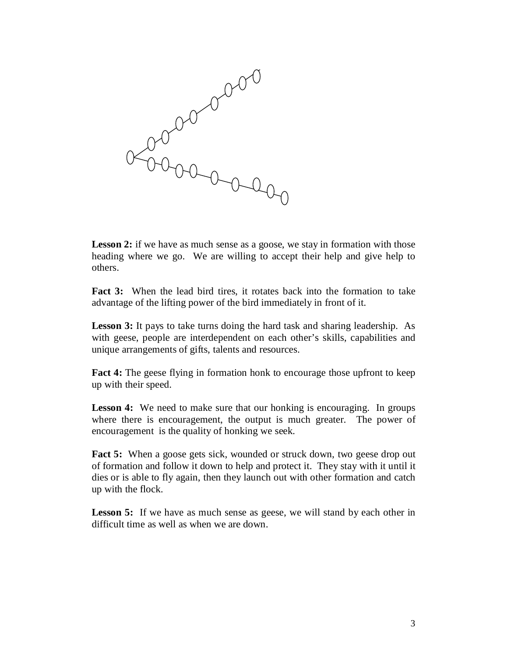

heading where we go. We are willing to accept their help and give help to others.

**Fact 3:** When the lead bird tires, it rotates back into the formation to take advantage of the lifting power of the bird immediately in front of it.

**Lesson 3:** It pays to take turns doing the hard task and sharing leadership. As with geese, people are interdependent on each other's skills, capabilities and unique arrangements of gifts, talents and resources.

**Fact 4:** The geese flying in formation honk to encourage those upfront to keep up with their speed.

**Lesson 4:** We need to make sure that our honking is encouraging. In groups where there is encouragement, the output is much greater. The power of encouragement is the quality of honking we seek.

**Fact 5:** When a goose gets sick, wounded or struck down, two geese drop out of formation and follow it down to help and protect it. They stay with it until it dies or is able to fly again, then they launch out with other formation and catch up with the flock.

**Lesson 5:** If we have as much sense as geese, we will stand by each other in difficult time as well as when we are down.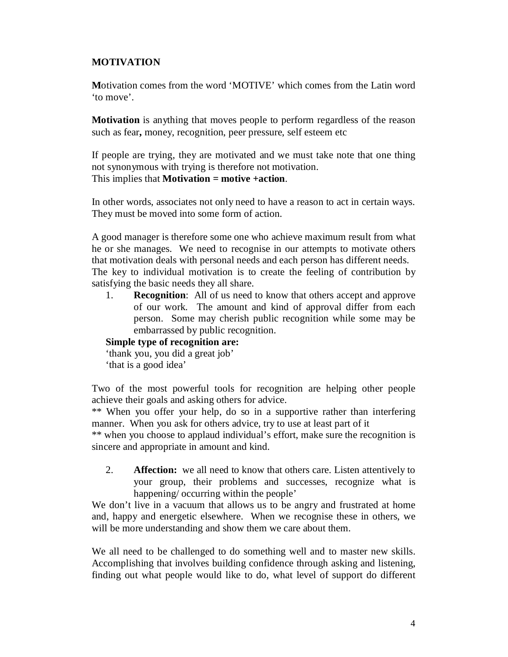# **MOTIVATION**

**M**otivation comes from the word 'MOTIVE' which comes from the Latin word 'to move'.

**Motivation** is anything that moves people to perform regardless of the reason such as fear**,** money, recognition, peer pressure, self esteem etc

If people are trying, they are motivated and we must take note that one thing not synonymous with trying is therefore not motivation. This implies that **Motivation = motive +action**.

In other words, associates not only need to have a reason to act in certain ways. They must be moved into some form of action.

A good manager is therefore some one who achieve maximum result from what he or she manages. We need to recognise in our attempts to motivate others that motivation deals with personal needs and each person has different needs. The key to individual motivation is to create the feeling of contribution by satisfying the basic needs they all share.

1. **Recognition**: All of us need to know that others accept and approve of our work. The amount and kind of approval differ from each person. Some may cherish public recognition while some may be embarrassed by public recognition.

## **Simple type of recognition are:**

'thank you, you did a great job'

'that is a good idea'

Two of the most powerful tools for recognition are helping other people achieve their goals and asking others for advice.

\*\* When you offer your help, do so in a supportive rather than interfering manner. When you ask for others advice, try to use at least part of it

\*\* when you choose to applaud individual's effort, make sure the recognition is sincere and appropriate in amount and kind.

2. **Affection:** we all need to know that others care. Listen attentively to your group, their problems and successes, recognize what is happening/ occurring within the people'

We don't live in a vacuum that allows us to be angry and frustrated at home and, happy and energetic elsewhere. When we recognise these in others, we will be more understanding and show them we care about them.

We all need to be challenged to do something well and to master new skills. Accomplishing that involves building confidence through asking and listening, finding out what people would like to do, what level of support do different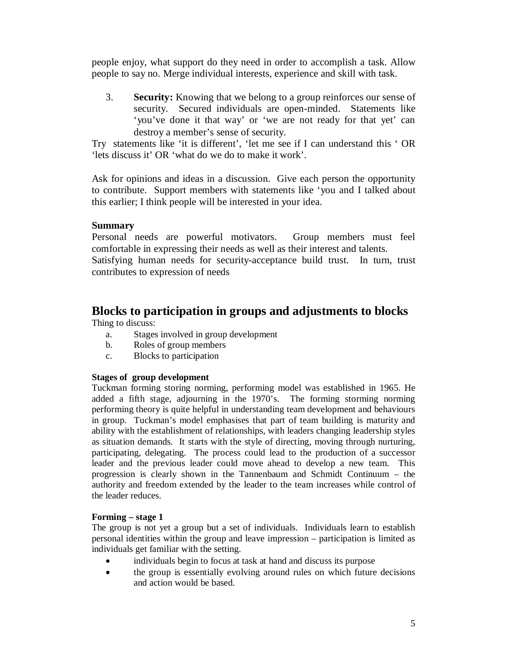people enjoy, what support do they need in order to accomplish a task. Allow people to say no. Merge individual interests, experience and skill with task.

3. **Security:** Knowing that we belong to a group reinforces our sense of security. Secured individuals are open-minded. Statements like 'you've done it that way' or 'we are not ready for that yet' can destroy a member's sense of security.

Try statements like 'it is different', 'let me see if I can understand this ' OR 'lets discuss it' OR 'what do we do to make it work'.

Ask for opinions and ideas in a discussion. Give each person the opportunity to contribute. Support members with statements like 'you and I talked about this earlier; I think people will be interested in your idea.

## **Summary**

Personal needs are powerful motivators. Group members must feel comfortable in expressing their needs as well as their interest and talents.

Satisfying human needs for security-acceptance build trust. In turn, trust contributes to expression of needs

# **Blocks to participation in groups and adjustments to blocks**

Thing to discuss:

- a. Stages involved in group development
- b. Roles of group members
- c. Blocks to participation

#### **Stages of group development**

Tuckman forming storing norming, performing model was established in 1965. He added a fifth stage, adjourning in the 1970's. The forming storming norming performing theory is quite helpful in understanding team development and behaviours in group. Tuckman's model emphasises that part of team building is maturity and ability with the establishment of relationships, with leaders changing leadership styles as situation demands. It starts with the style of directing, moving through nurturing, participating, delegating. The process could lead to the production of a successor leader and the previous leader could move ahead to develop a new team. This progression is clearly shown in the Tannenbaum and Schmidt Continuum – the authority and freedom extended by the leader to the team increases while control of the leader reduces.

#### **Forming – stage 1**

The group is not yet a group but a set of individuals. Individuals learn to establish personal identities within the group and leave impression – participation is limited as individuals get familiar with the setting.

- individuals begin to focus at task at hand and discuss its purpose
- the group is essentially evolving around rules on which future decisions and action would be based.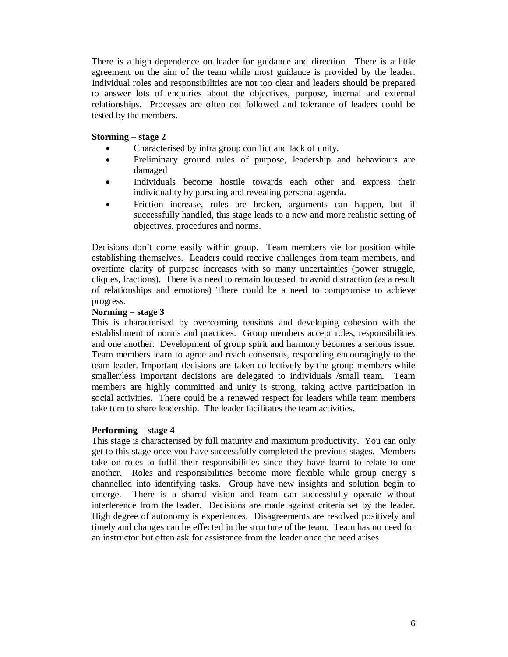There is a high dependence on leader for guidance and direction. There is a little agreement on the aim of the team while most guidance is provided by the leader. Individual roles and responsibilities are not too clear and leaders should be prepared to answer lots of enquiries about the objectives, purpose, internal and external relationships. Processes are often not followed and tolerance of leaders could be tested by the members.

#### **Storming – stage 2**

- Characterised by intra group conflict and lack of unity.
- Preliminary ground rules of purpose, leadership and behaviours are damaged
- Individuals become hostile towards each other and express their individuality by pursuing and revealing personal agenda.
- Friction increase, rules are broken, arguments can happen, but if successfully handled, this stage leads to a new and more realistic setting of objectives, procedures and norms.

Decisions don't come easily within group. Team members vie for position while establishing themselves. Leaders could receive challenges from team members, and overtime clarity of purpose increases with so many uncertainties (power struggle, cliques, fractions). There is a need to remain focussed to avoid distraction (as a result of relationships and emotions) There could be a need to compromise to achieve progress.

#### **Norming – stage 3**

This is characterised by overcoming tensions and developing cohesion with the establishment of norms and practices. Group members accept roles, responsibilities and one another. Development of group spirit and harmony becomes a serious issue. Team members learn to agree and reach consensus, responding encouragingly to the team leader. Important decisions are taken collectively by the group members while smaller/less important decisions are delegated to individuals /small team. Team members are highly committed and unity is strong, taking active participation in social activities. There could be a renewed respect for leaders while team members take turn to share leadership. The leader facilitates the team activities.

#### **Performing – stage 4**

This stage is characterised by full maturity and maximum productivity. You can only get to this stage once you have successfully completed the previous stages. Members take on roles to fulfil their responsibilities since they have learnt to relate to one another. Roles and responsibilities become more flexible while group energy s channelled into identifying tasks. Group have new insights and solution begin to emerge. There is a shared vision and team can successfully operate without interference from the leader. Decisions are made against criteria set by the leader. High degree of autonomy is experiences. Disagreements are resolved positively and timely and changes can be effected in the structure of the team. Team has no need for an instructor but often ask for assistance from the leader once the need arises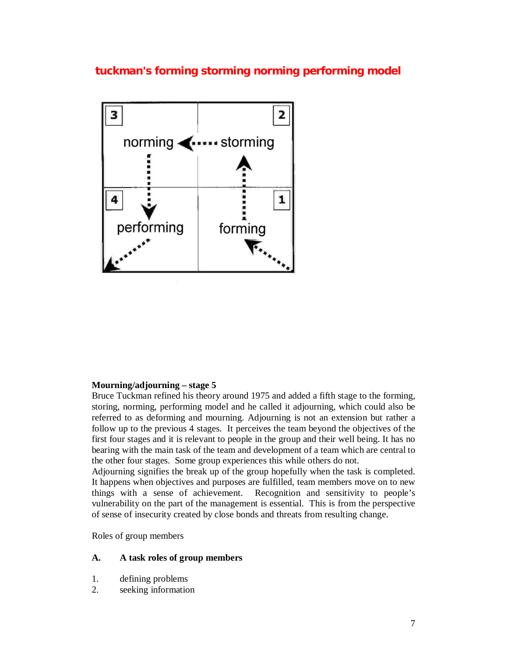**tuckman's forming storming norming performing model**



## **Mourning/adjourning – stage 5**

Bruce Tuckman refined his theory around 1975 and added a fifth stage to the forming, storing, norming, performing model and he called it adjourning, which could also be referred to as deforming and mourning. Adjourning is not an extension but rather a follow up to the previous 4 stages. It perceives the team beyond the objectives of the first four stages and it is relevant to people in the group and their well being. It has no bearing with the main task of the team and development of a team which are central to the other four stages. Some group experiences this while others do not.

Adjourning signifies the break up of the group hopefully when the task is completed. It happens when objectives and purposes are fulfilled, team members move on to new things with a sense of achievement. Recognition and sensitivity to people's vulnerability on the part of the management is essential. This is from the perspective of sense of insecurity created by close bonds and threats from resulting change.

Roles of group members

#### **A. A task roles of group members**

- 1. defining problems
- 2. seeking information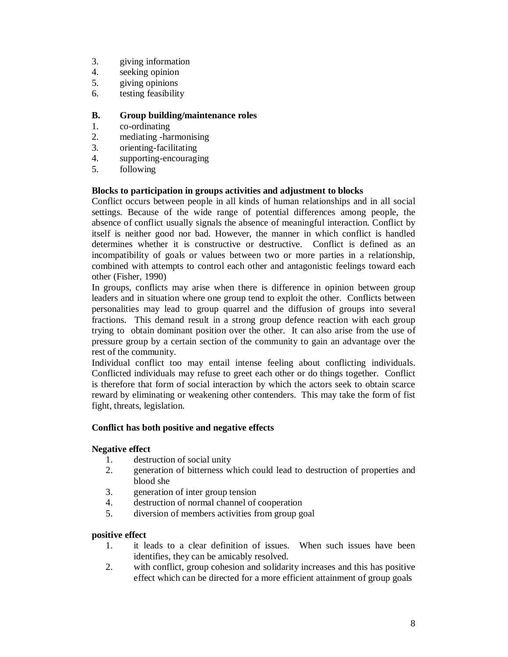- 3. giving information
- 4. seeking opinion<br>5. giving opinions
- giving opinions
- 6. testing feasibility

#### **B. Group building/maintenance roles**

- 1. co-ordinating
- 2. mediating -harmonising
- 3. orienting-facilitating
- 4. supporting-encouraging
- 5. following

#### **Blocks to participation in groups activities and adjustment to blocks**

Conflict occurs between people in all kinds of human relationships and in all social settings. Because of the wide range of potential differences among people, the absence of conflict usually signals the absence of meaningful interaction. Conflict by itself is neither good nor bad. However, the manner in which conflict is handled determines whether it is constructive or destructive. Conflict is defined as an incompatibility of goals or values between two or more parties in a relationship, combined with attempts to control each other and antagonistic feelings toward each other (Fisher, 1990)

In groups, conflicts may arise when there is difference in opinion between group leaders and in situation where one group tend to exploit the other. Conflicts between personalities may lead to group quarrel and the diffusion of groups into several fractions. This demand result in a strong group defence reaction with each group trying to obtain dominant position over the other. It can also arise from the use of pressure group by a certain section of the community to gain an advantage over the rest of the community.

Individual conflict too may entail intense feeling about conflicting individuals. Conflicted individuals may refuse to greet each other or do things together. Conflict is therefore that form of social interaction by which the actors seek to obtain scarce reward by eliminating or weakening other contenders. This may take the form of fist fight, threats, legislation.

#### **Conflict has both positive and negative effects**

#### **Negative effect**

- 1. destruction of social unity
- 2. generation of bitterness which could lead to destruction of properties and blood she
- 3. generation of inter group tension
- 4. destruction of normal channel of cooperation
- 5. diversion of members activities from group goal

#### **positive effect**

- 1. it leads to a clear definition of issues. When such issues have been identifies, they can be amicably resolved.
- 2. with conflict, group cohesion and solidarity increases and this has positive effect which can be directed for a more efficient attainment of group goals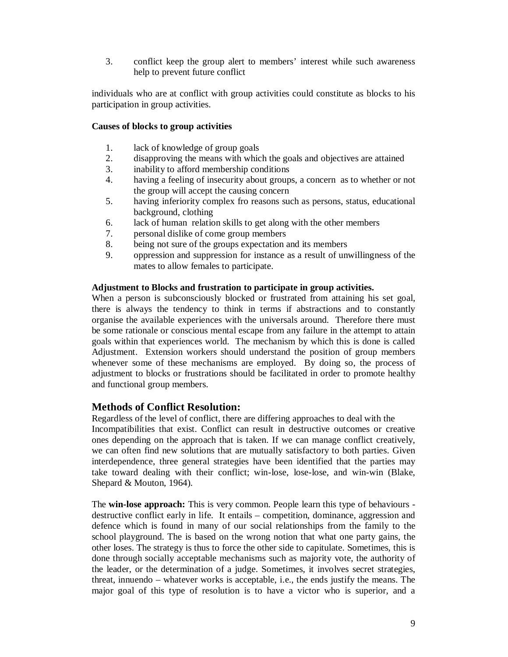3. conflict keep the group alert to members' interest while such awareness help to prevent future conflict

individuals who are at conflict with group activities could constitute as blocks to his participation in group activities.

#### **Causes of blocks to group activities**

- 1. lack of knowledge of group goals
- 2. disapproving the means with which the goals and objectives are attained
- 3. inability to afford membership conditions
- 4. having a feeling of insecurity about groups, a concern as to whether or not the group will accept the causing concern
- 5. having inferiority complex fro reasons such as persons, status, educational background, clothing
- 6. lack of human relation skills to get along with the other members
- 7. personal dislike of come group members
- 8. being not sure of the groups expectation and its members
- 9. oppression and suppression for instance as a result of unwillingness of the mates to allow females to participate.

#### **Adjustment to Blocks and frustration to participate in group activities.**

When a person is subconsciously blocked or frustrated from attaining his set goal, there is always the tendency to think in terms if abstractions and to constantly organise the available experiences with the universals around. Therefore there must be some rationale or conscious mental escape from any failure in the attempt to attain goals within that experiences world. The mechanism by which this is done is called Adjustment. Extension workers should understand the position of group members whenever some of these mechanisms are employed. By doing so, the process of adjustment to blocks or frustrations should be facilitated in order to promote healthy and functional group members.

## **Methods of Conflict Resolution:**

Regardless of the level of conflict, there are differing approaches to deal with the Incompatibilities that exist. Conflict can result in destructive outcomes or creative ones depending on the approach that is taken. If we can manage conflict creatively, we can often find new solutions that are mutually satisfactory to both parties. Given interdependence, three general strategies have been identified that the parties may take toward dealing with their conflict; win-lose, lose-lose, and win-win (Blake, Shepard & Mouton, 1964).

The **win-lose approach:** This is very common. People learn this type of behaviours destructive conflict early in life. It entails – competition, dominance, aggression and defence which is found in many of our social relationships from the family to the school playground. The is based on the wrong notion that what one party gains, the other loses. The strategy is thus to force the other side to capitulate. Sometimes, this is done through socially acceptable mechanisms such as majority vote, the authority of the leader, or the determination of a judge. Sometimes, it involves secret strategies, threat, innuendo – whatever works is acceptable, i.e., the ends justify the means. The major goal of this type of resolution is to have a victor who is superior, and a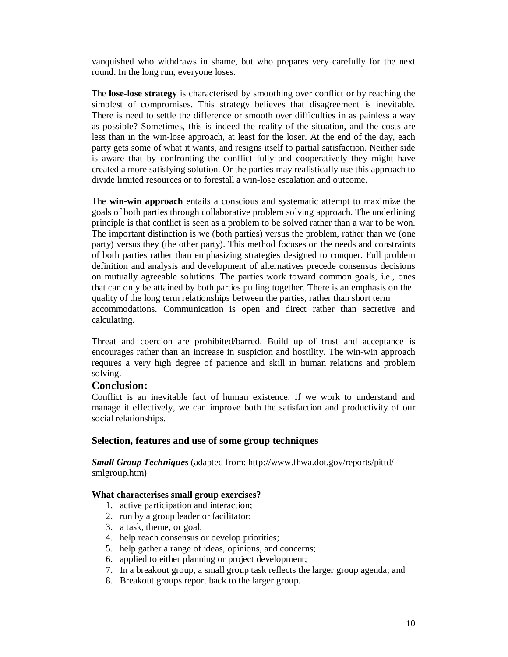vanquished who withdraws in shame, but who prepares very carefully for the next round. In the long run, everyone loses.

The **lose-lose strategy** is characterised by smoothing over conflict or by reaching the simplest of compromises. This strategy believes that disagreement is inevitable. There is need to settle the difference or smooth over difficulties in as painless a way as possible? Sometimes, this is indeed the reality of the situation, and the costs are less than in the win-lose approach, at least for the loser. At the end of the day, each party gets some of what it wants, and resigns itself to partial satisfaction. Neither side is aware that by confronting the conflict fully and cooperatively they might have created a more satisfying solution. Or the parties may realistically use this approach to divide limited resources or to forestall a win-lose escalation and outcome.

The **win-win approach** entails a conscious and systematic attempt to maximize the goals of both parties through collaborative problem solving approach. The underlining principle is that conflict is seen as a problem to be solved rather than a war to be won. The important distinction is we (both parties) versus the problem, rather than we (one party) versus they (the other party). This method focuses on the needs and constraints of both parties rather than emphasizing strategies designed to conquer. Full problem definition and analysis and development of alternatives precede consensus decisions on mutually agreeable solutions. The parties work toward common goals, i.e., ones that can only be attained by both parties pulling together. There is an emphasis on the quality of the long term relationships between the parties, rather than short term accommodations. Communication is open and direct rather than secretive and calculating.

Threat and coercion are prohibited/barred. Build up of trust and acceptance is encourages rather than an increase in suspicion and hostility. The win-win approach requires a very high degree of patience and skill in human relations and problem solving.

## **Conclusion:**

Conflict is an inevitable fact of human existence. If we work to understand and manage it effectively, we can improve both the satisfaction and productivity of our social relationships.

#### **Selection, features and use of some group techniques**

*Small Group Techniques* (adapted from: http://www.fhwa.dot.gov/reports/pittd/ smlgroup.htm)

#### **What characterises small group exercises?**

- 1. active participation and interaction;
- 2. run by a group leader or facilitator;
- 3. a task, theme, or goal;
- 4. help reach consensus or develop priorities;
- 5. help gather a range of ideas, opinions, and concerns;
- 6. applied to either planning or project development;
- 7. In a breakout group, a small group task reflects the larger group agenda; and
- 8. Breakout groups report back to the larger group.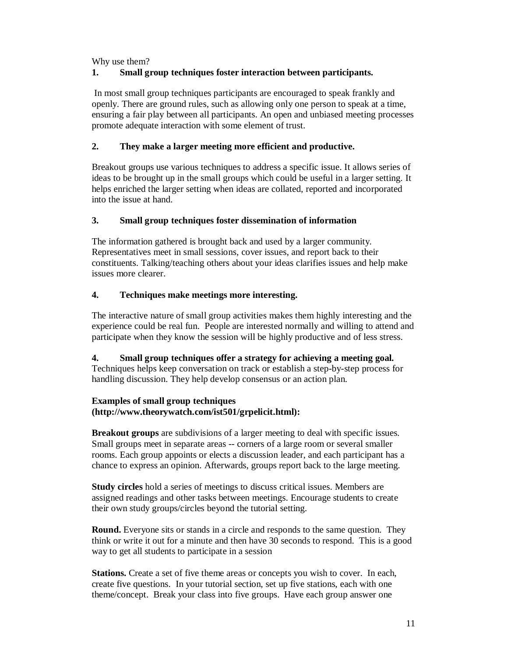Why use them?

# **1. Small group techniques foster interaction between participants.**

In most small group techniques participants are encouraged to speak frankly and openly. There are ground rules, such as allowing only one person to speak at a time, ensuring a fair play between all participants. An open and unbiased meeting processes promote adequate interaction with some element of trust.

## **2. They make a larger meeting more efficient and productive.**

Breakout groups use various techniques to address a specific issue. It allows series of ideas to be brought up in the small groups which could be useful in a larger setting. It helps enriched the larger setting when ideas are collated, reported and incorporated into the issue at hand.

## **3. Small group techniques foster dissemination of information**

The information gathered is brought back and used by a larger community. Representatives meet in small sessions, cover issues, and report back to their constituents. Talking/teaching others about your ideas clarifies issues and help make issues more clearer.

## **4. Techniques make meetings more interesting.**

The interactive nature of small group activities makes them highly interesting and the experience could be real fun. People are interested normally and willing to attend and participate when they know the session will be highly productive and of less stress.

## **4. Small group techniques offer a strategy for achieving a meeting goal.**

Techniques helps keep conversation on track or establish a step-by-step process for handling discussion. They help develop consensus or an action plan.

## **Examples of small group techniques (http://www.theorywatch.com/ist501/grpelicit.html):**

**Breakout groups** are subdivisions of a larger meeting to deal with specific issues. Small groups meet in separate areas -- corners of a large room or several smaller rooms. Each group appoints or elects a discussion leader, and each participant has a chance to express an opinion. Afterwards, groups report back to the large meeting.

**Study circles** hold a series of meetings to discuss critical issues. Members are assigned readings and other tasks between meetings. Encourage students to create their own study groups/circles beyond the tutorial setting.

**Round.** Everyone sits or stands in a circle and responds to the same question. They think or write it out for a minute and then have 30 seconds to respond. This is a good way to get all students to participate in a session

**Stations.** Create a set of five theme areas or concepts you wish to cover. In each, create five questions. In your tutorial section, set up five stations, each with one theme/concept. Break your class into five groups. Have each group answer one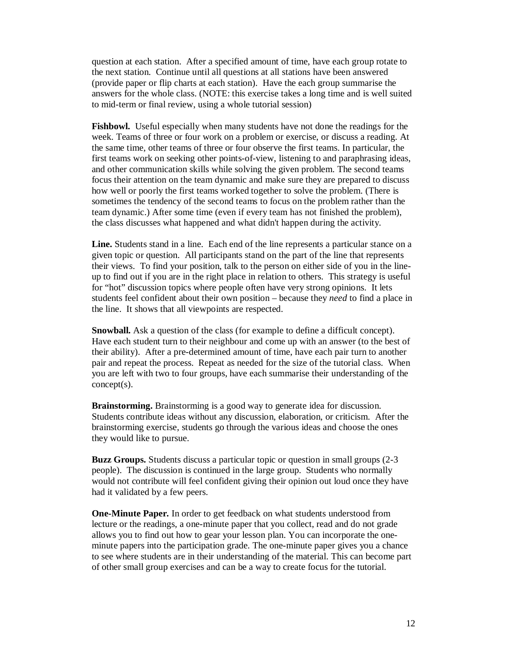question at each station. After a specified amount of time, have each group rotate to the next station. Continue until all questions at all stations have been answered (provide paper or flip charts at each station). Have the each group summarise the answers for the whole class. (NOTE: this exercise takes a long time and is well suited to mid-term or final review, using a whole tutorial session)

**Fishbowl.** Useful especially when many students have not done the readings for the week. Teams of three or four work on a problem or exercise, or discuss a reading. At the same time, other teams of three or four observe the first teams. In particular, the first teams work on seeking other points-of-view, listening to and paraphrasing ideas, and other communication skills while solving the given problem. The second teams focus their attention on the team dynamic and make sure they are prepared to discuss how well or poorly the first teams worked together to solve the problem. (There is sometimes the tendency of the second teams to focus on the problem rather than the team dynamic.) After some time (even if every team has not finished the problem), the class discusses what happened and what didn't happen during the activity.

**Line.** Students stand in a line. Each end of the line represents a particular stance on a given topic or question. All participants stand on the part of the line that represents their views. To find your position, talk to the person on either side of you in the lineup to find out if you are in the right place in relation to others. This strategy is useful for "hot" discussion topics where people often have very strong opinions. It lets students feel confident about their own position – because they *need* to find a place in the line. It shows that all viewpoints are respected.

**Snowball.** Ask a question of the class (for example to define a difficult concept). Have each student turn to their neighbour and come up with an answer (to the best of their ability). After a pre-determined amount of time, have each pair turn to another pair and repeat the process. Repeat as needed for the size of the tutorial class. When you are left with two to four groups, have each summarise their understanding of the concept(s).

**Brainstorming.** Brainstorming is a good way to generate idea for discussion. Students contribute ideas without any discussion, elaboration, or criticism. After the brainstorming exercise, students go through the various ideas and choose the ones they would like to pursue.

**Buzz Groups.** Students discuss a particular topic or question in small groups (2-3 people). The discussion is continued in the large group. Students who normally would not contribute will feel confident giving their opinion out loud once they have had it validated by a few peers.

**One-Minute Paper.** In order to get feedback on what students understood from lecture or the readings, a one-minute paper that you collect, read and do not grade allows you to find out how to gear your lesson plan. You can incorporate the oneminute papers into the participation grade. The one-minute paper gives you a chance to see where students are in their understanding of the material. This can become part of other small group exercises and can be a way to create focus for the tutorial.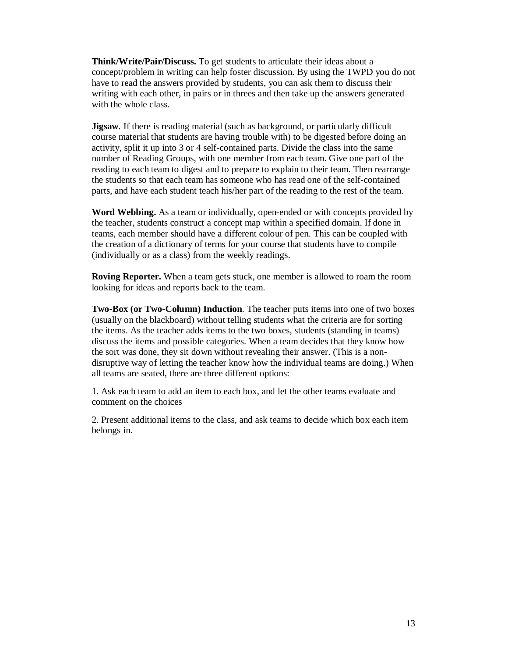**Think/Write/Pair/Discuss.** To get students to articulate their ideas about a concept/problem in writing can help foster discussion. By using the TWPD you do not have to read the answers provided by students, you can ask them to discuss their writing with each other, in pairs or in threes and then take up the answers generated with the whole class.

**Jigsaw***.* If there is reading material (such as background, or particularly difficult course material that students are having trouble with) to be digested before doing an activity, split it up into 3 or 4 self-contained parts. Divide the class into the same number of Reading Groups, with one member from each team. Give one part of the reading to each team to digest and to prepare to explain to their team. Then rearrange the students so that each team has someone who has read one of the self-contained parts, and have each student teach his/her part of the reading to the rest of the team.

**Word Webbing.** As a team or individually, open-ended or with concepts provided by the teacher, students construct a concept map within a specified domain. If done in teams, each member should have a different colour of pen. This can be coupled with the creation of a dictionary of terms for your course that students have to compile (individually or as a class) from the weekly readings.

**Roving Reporter.** When a team gets stuck, one member is allowed to roam the room looking for ideas and reports back to the team.

**Two-Box (or Two-Column) Induction***.* The teacher puts items into one of two boxes (usually on the blackboard) without telling students what the criteria are for sorting the items. As the teacher adds items to the two boxes, students (standing in teams) discuss the items and possible categories. When a team decides that they know how the sort was done, they sit down without revealing their answer. (This is a nondisruptive way of letting the teacher know how the individual teams are doing.) When all teams are seated, there are three different options:

1. Ask each team to add an item to each box, and let the other teams evaluate and comment on the choices

2. Present additional items to the class, and ask teams to decide which box each item belongs in.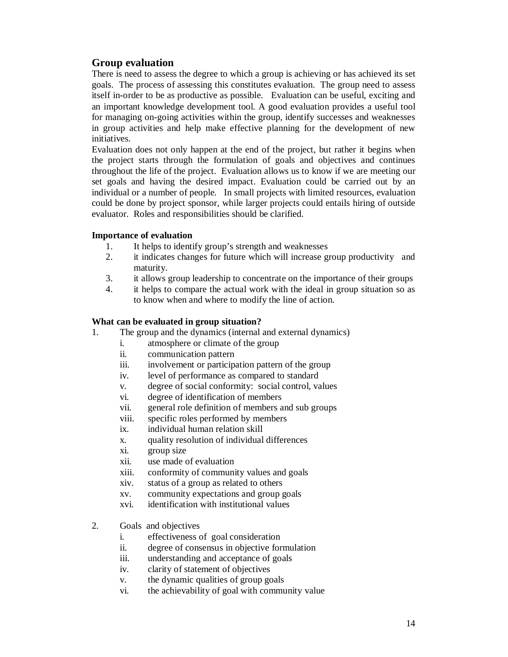# **Group evaluation**

There is need to assess the degree to which a group is achieving or has achieved its set goals. The process of assessing this constitutes evaluation. The group need to assess itself in-order to be as productive as possible. Evaluation can be useful, exciting and an important knowledge development tool. A good evaluation provides a useful tool for managing on-going activities within the group, identify successes and weaknesses in group activities and help make effective planning for the development of new initiatives.

Evaluation does not only happen at the end of the project, but rather it begins when the project starts through the formulation of goals and objectives and continues throughout the life of the project. Evaluation allows us to know if we are meeting our set goals and having the desired impact. Evaluation could be carried out by an individual or a number of people. In small projects with limited resources, evaluation could be done by project sponsor, while larger projects could entails hiring of outside evaluator. Roles and responsibilities should be clarified.

#### **Importance of evaluation**

- 1. It helps to identify group's strength and weaknesses
- 2. it indicates changes for future which will increase group productivity and maturity.
- 3. it allows group leadership to concentrate on the importance of their groups
- 4. it helps to compare the actual work with the ideal in group situation so as to know when and where to modify the line of action.

#### **What can be evaluated in group situation?**

- 1. The group and the dynamics (internal and external dynamics)
	- i. atmosphere or climate of the group
	- ii. communication pattern
	- iii. involvement or participation pattern of the group
	- iv. level of performance as compared to standard
	- v. degree of social conformity: social control, values
	- vi. degree of identification of members
	- vii. general role definition of members and sub groups
	- viii. specific roles performed by members
	- ix. individual human relation skill
	- x. quality resolution of individual differences
	- xi. group size
	- xii. use made of evaluation
	- xiii. conformity of community values and goals
	- xiv. status of a group as related to others
	- xv. community expectations and group goals
	- xvi. identification with institutional values
- 2. Goals and objectives
	- i. effectiveness of goal consideration
	- ii. degree of consensus in objective formulation
	- iii. understanding and acceptance of goals
	- iv. clarity of statement of objectives
	- v. the dynamic qualities of group goals
	- vi. the achievability of goal with community value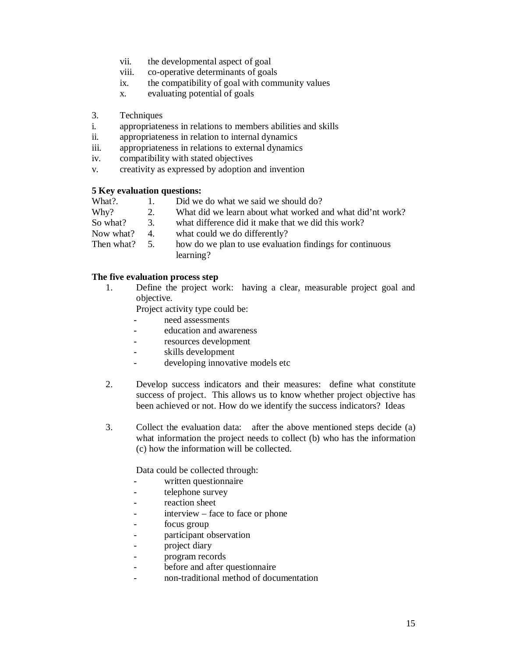- vii. the developmental aspect of goal
- viii. co-operative determinants of goals
- ix. the compatibility of goal with community values
- x. evaluating potential of goals
- 3. Techniques
- i. appropriateness in relations to members abilities and skills
- ii. appropriateness in relation to internal dynamics
- iii. appropriateness in relations to external dynamics
- iv. compatibility with stated objectives
- v. creativity as expressed by adoption and invention

#### **5 Key evaluation questions:**

- What?. 1. Did we do what we said we should do?
- Why? 2. What did we learn about what worked and what did'nt work?
- So what? 3. what difference did it make that we did this work?
- Now what? 4. what could we do differently?
- Then what? 5. how do we plan to use evaluation findings for continuous learning?

#### **The five evaluation process step**

1. Define the project work: having a clear, measurable project goal and objective.

Project activity type could be:

- need assessments
- education and awareness
- resources development
- skills development
- developing innovative models etc
- 2. Develop success indicators and their measures: define what constitute success of project. This allows us to know whether project objective has been achieved or not. How do we identify the success indicators? Ideas
- 3. Collect the evaluation data: after the above mentioned steps decide (a) what information the project needs to collect (b) who has the information (c) how the information will be collected.

Data could be collected through:

- written questionnaire
- telephone survey
- reaction sheet
- interview face to face or phone
- focus group
- participant observation
- project diary
- program records
- before and after questionnaire
- non-traditional method of documentation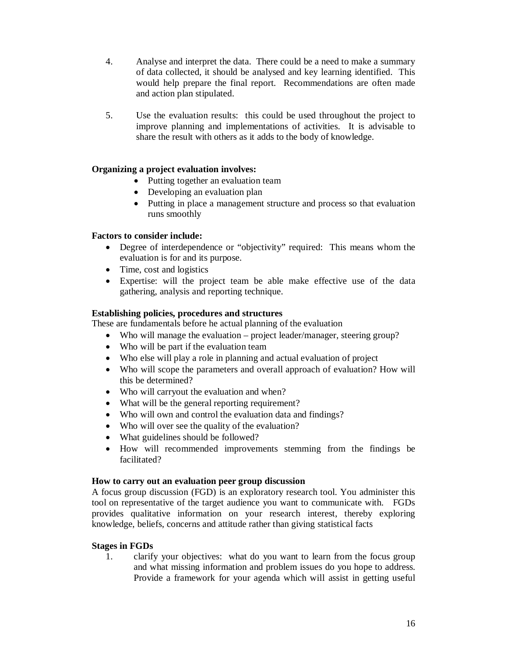- 4. Analyse and interpret the data. There could be a need to make a summary of data collected, it should be analysed and key learning identified. This would help prepare the final report. Recommendations are often made and action plan stipulated.
- 5. Use the evaluation results: this could be used throughout the project to improve planning and implementations of activities. It is advisable to share the result with others as it adds to the body of knowledge.

## **Organizing a project evaluation involves:**

- Putting together an evaluation team
- Developing an evaluation plan
- Putting in place a management structure and process so that evaluation runs smoothly

## **Factors to consider include:**

- Degree of interdependence or "objectivity" required: This means whom the evaluation is for and its purpose.
- Time, cost and logistics
- Expertise: will the project team be able make effective use of the data gathering, analysis and reporting technique.

## **Establishing policies, procedures and structures**

These are fundamentals before he actual planning of the evaluation

- Who will manage the evaluation project leader/manager, steering group?
- Who will be part if the evaluation team
- Who else will play a role in planning and actual evaluation of project
- Who will scope the parameters and overall approach of evaluation? How will this be determined?
- Who will carryout the evaluation and when?
- What will be the general reporting requirement?
- Who will own and control the evaluation data and findings?
- Who will over see the quality of the evaluation?
- What guidelines should be followed?
- How will recommended improvements stemming from the findings be facilitated?

## **How to carry out an evaluation peer group discussion**

A focus group discussion (FGD) is an exploratory research tool. You administer this tool on representative of the target audience you want to communicate with. FGDs provides qualitative information on your research interest, thereby exploring knowledge, beliefs, concerns and attitude rather than giving statistical facts

## **Stages in FGDs**

1. clarify your objectives: what do you want to learn from the focus group and what missing information and problem issues do you hope to address. Provide a framework for your agenda which will assist in getting useful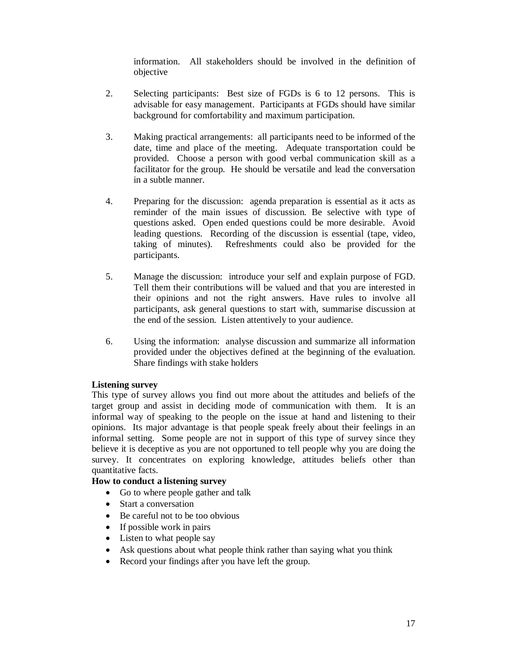information. All stakeholders should be involved in the definition of objective

- 2. Selecting participants: Best size of FGDs is 6 to 12 persons. This is advisable for easy management. Participants at FGDs should have similar background for comfortability and maximum participation.
- 3. Making practical arrangements: all participants need to be informed of the date, time and place of the meeting. Adequate transportation could be provided. Choose a person with good verbal communication skill as a facilitator for the group. He should be versatile and lead the conversation in a subtle manner.
- 4. Preparing for the discussion: agenda preparation is essential as it acts as reminder of the main issues of discussion. Be selective with type of questions asked. Open ended questions could be more desirable. Avoid leading questions. Recording of the discussion is essential (tape, video, taking of minutes). Refreshments could also be provided for the participants.
- 5. Manage the discussion: introduce your self and explain purpose of FGD. Tell them their contributions will be valued and that you are interested in their opinions and not the right answers. Have rules to involve all participants, ask general questions to start with, summarise discussion at the end of the session. Listen attentively to your audience.
- 6. Using the information: analyse discussion and summarize all information provided under the objectives defined at the beginning of the evaluation. Share findings with stake holders

#### **Listening survey**

This type of survey allows you find out more about the attitudes and beliefs of the target group and assist in deciding mode of communication with them. It is an informal way of speaking to the people on the issue at hand and listening to their opinions. Its major advantage is that people speak freely about their feelings in an informal setting. Some people are not in support of this type of survey since they believe it is deceptive as you are not opportuned to tell people why you are doing the survey. It concentrates on exploring knowledge, attitudes beliefs other than quantitative facts.

## **How to conduct a listening survey**

- Go to where people gather and talk
- Start a conversation
- Be careful not to be too obvious
- $\bullet$  If possible work in pairs
- Listen to what people say
- Ask questions about what people think rather than saying what you think
- Record your findings after you have left the group.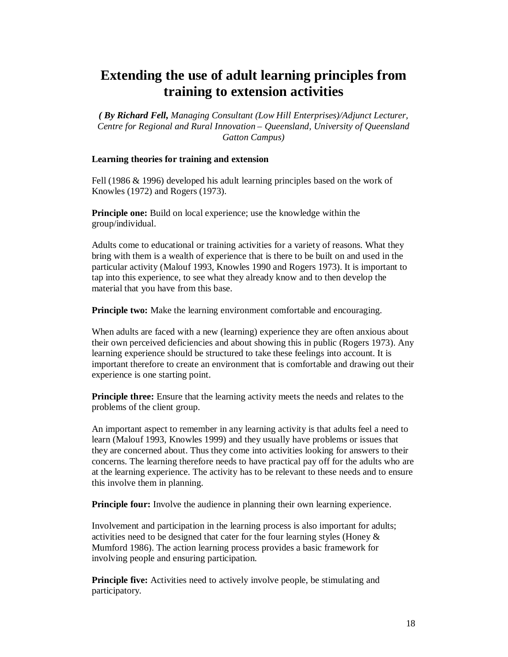# **Extending the use of adult learning principles from training to extension activities**

*( By Richard Fell, Managing Consultant (Low Hill Enterprises)/Adjunct Lecturer, Centre for Regional and Rural Innovation – Queensland, University of Queensland Gatton Campus)*

#### **Learning theories for training and extension**

Fell (1986 & 1996) developed his adult learning principles based on the work of Knowles (1972) and Rogers (1973).

**Principle one:** Build on local experience; use the knowledge within the group/individual.

Adults come to educational or training activities for a variety of reasons. What they bring with them is a wealth of experience that is there to be built on and used in the particular activity (Malouf 1993, Knowles 1990 and Rogers 1973). It is important to tap into this experience, to see what they already know and to then develop the material that you have from this base.

**Principle two:** Make the learning environment comfortable and encouraging.

When adults are faced with a new (learning) experience they are often anxious about their own perceived deficiencies and about showing this in public (Rogers 1973). Any learning experience should be structured to take these feelings into account. It is important therefore to create an environment that is comfortable and drawing out their experience is one starting point.

**Principle three:** Ensure that the learning activity meets the needs and relates to the problems of the client group.

An important aspect to remember in any learning activity is that adults feel a need to learn (Malouf 1993, Knowles 1999) and they usually have problems or issues that they are concerned about. Thus they come into activities looking for answers to their concerns. The learning therefore needs to have practical pay off for the adults who are at the learning experience. The activity has to be relevant to these needs and to ensure this involve them in planning.

**Principle four:** Involve the audience in planning their own learning experience.

Involvement and participation in the learning process is also important for adults; activities need to be designed that cater for the four learning styles (Honey & Mumford 1986). The action learning process provides a basic framework for involving people and ensuring participation.

**Principle five:** Activities need to actively involve people, be stimulating and participatory.